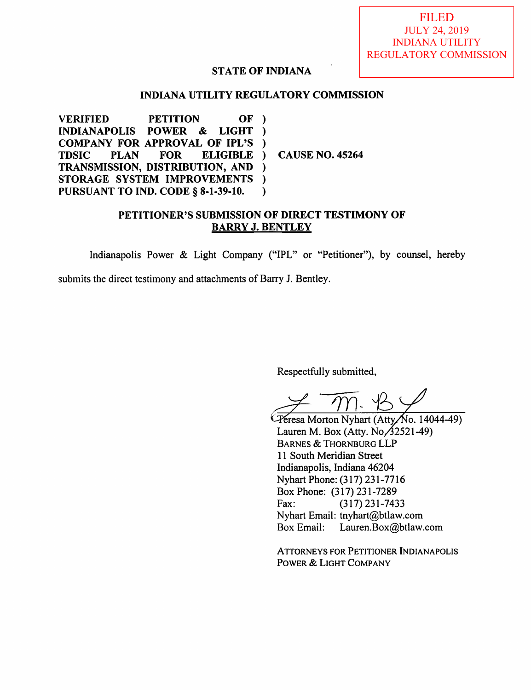FILED JULY 24, 2019 INDIANA UTILITY REGULATORY COMMISSION

#### STATE OF INDIANA

#### INDIANA UTILITY REGULATORY COMMISSION

VERIFIED PETITION OF<br>INDIANAPOLIS POWER & LIGHT  $\rightarrow$ **INDIANAPOLIS**  $\lambda$ COMPANY FOR APPROVAL OF IPL'S<br>TDSIC PLAN FOR ELIGIBLE  $\lambda$ **ELIGIBLE** CAUSE NO. 45264  $\mathcal{L}$ TRANSMISSION, DISTRIBUTION, AND  $\lambda$ STORAGE SYSTEM IMPROVEMENTS  $\lambda$ PURSUANT TO IND. CODE § 8-1-39-10.  $\lambda$ 

#### PETITIONER'S SUBMISSION OF DIRECT TESTIMONY OF BARRY J. BENTLEY

Indianapolis Power & Light Company ("IPL" or "Petitioner"), by counsel, hereby

submits the direct testimony and attachments of Barry J. Bentley.

Respectfully submitted,

Peresa Morton Nyhart (Atty/No. 14044-49) Lauren M. Box (Atty.  $No$   $\overline{\cancel{3}}$ 2521-49) Barnes & Thornburg LLP 11 South Meridian Street Indianapolis, Indiana 46204 Nyhart Phone: (317) 231-7716 Box Phone: (317)231-7289 Fax: (317)231-7433 Nyhart Email: tnyhart@btlaw.com Box Email: Lauren.Box@btlaw.com

Attorneys for Petitioner Indianapolis Power & Light Company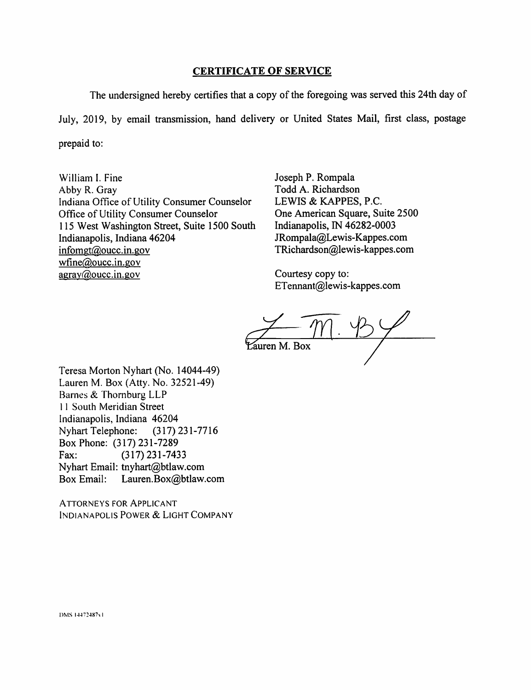#### CERTIFICATE OF SERVICE

The undersigned hereby certifies that a copy of the foregoing was served this 24th day of July, 2019, by email transmission, hand delivery or United States Mail, first class, postage prepaid to:

William 1. Fine Abby R. Gray Indiana Office of Utility Consumer Counselor Office of Utility Consumer Counselor 115 West Washington Street, Suite 1500 South Indianapolis, Indiana 46204 infomgt@oucc.in.gov wfine $@$ oucc. in. gov  $a$ gray@oucc.in.gov

Joseph P. Rompala Todd A. Richardson LEWIS & KAPPES, P.C. One American Square, Suite 2500 Indianapolis, IN 46282-0003 JRompaIa@Lewis-Kappes.com TRichardson@Iewis-kappes.com

Courtesy copy to: ETennant@lewis-kappes.com

 $\overline{m}$ auren M. Box

Teresa Morton Nyhart (No. 14044-49) Lauren M. Box (Atty. No. 32521-49) Barnes & Thornburg LLP 11 South Meridian Street Indianapolis, Indiana 46204 Nyhart Telephone: (317) 231-7716 Box Phone: (317)231-7289 Fax: (317)231-7433 Nyhart Email: tnyhart@btlaw.com Box Email: Lauren.Box@btlaw.com

Attorneys for Applicant Indianapolis Power & Light Company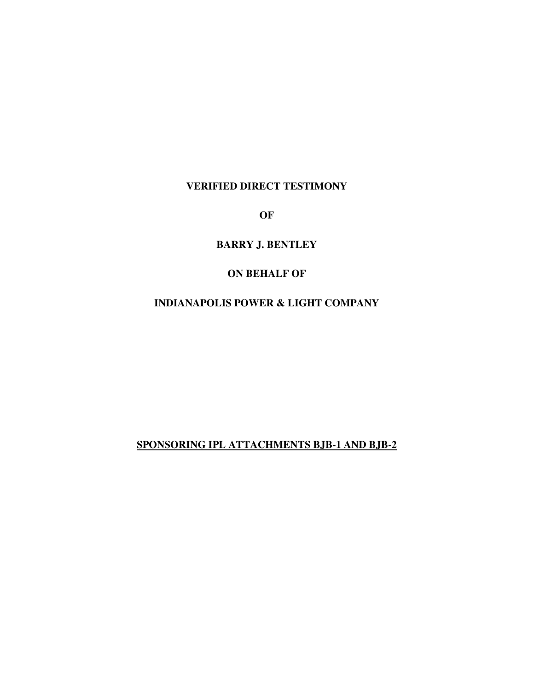#### **VERIFIED DIRECT TESTIMONY**

**OF** 

**BARRY J. BENTLEY** 

#### **ON BEHALF OF**

### **INDIANAPOLIS POWER & LIGHT COMPANY**

### **SPONSORING IPL ATTACHMENTS BJB-1 AND BJB-2**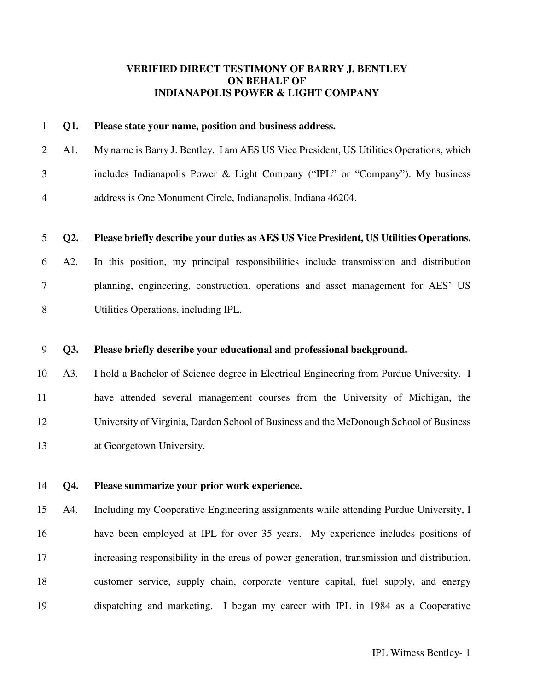#### **VERIFIED DIRECT TESTIMONY OF BARRY J. BENTLEY ON BEHALF OF INDIANAPOLIS POWER & LIGHT COMPANY**

|   | 1 <b>01.</b> | Please state your name, position and business address.                                        |
|---|--------------|-----------------------------------------------------------------------------------------------|
|   |              | 2 A1. My name is Barry J. Bentley. I am AES US Vice President, US Utilities Operations, which |
| 3 |              | includes Indianapolis Power & Light Company ("IPL" or "Company"). My business                 |
| 4 |              | address is One Monument Circle, Indianapolis, Indiana 46204.                                  |

#### 5 **Q2. Please briefly describe your duties as AES US Vice President, US Utilities Operations.**

6 A2. In this position, my principal responsibilities include transmission and distribution 7 planning, engineering, construction, operations and asset management for AES' US 8 Utilities Operations, including IPL.

#### 9 **Q3. Please briefly describe your educational and professional background.**

10 A3. I hold a Bachelor of Science degree in Electrical Engineering from Purdue University. I 11 have attended several management courses from the University of Michigan, the 12 University of Virginia, Darden School of Business and the McDonough School of Business 13 at Georgetown University.

14 **Q4. Please summarize your prior work experience.** 

15 A4. Including my Cooperative Engineering assignments while attending Purdue University, I 16 have been employed at IPL for over 35 years. My experience includes positions of 17 increasing responsibility in the areas of power generation, transmission and distribution, 18 customer service, supply chain, corporate venture capital, fuel supply, and energy 19 dispatching and marketing. I began my career with IPL in 1984 as a Cooperative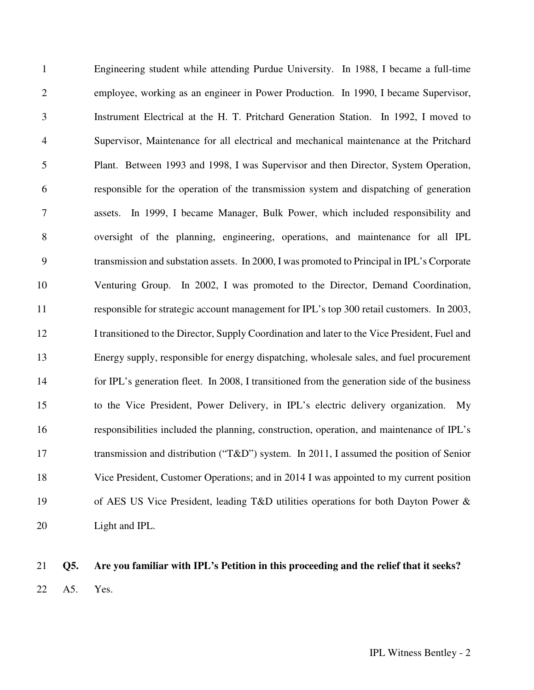1 Engineering student while attending Purdue University. In 1988, I became a full-time 2 employee, working as an engineer in Power Production. In 1990, I became Supervisor, 3 Instrument Electrical at the H. T. Pritchard Generation Station. In 1992, I moved to 4 Supervisor, Maintenance for all electrical and mechanical maintenance at the Pritchard 5 Plant. Between 1993 and 1998, I was Supervisor and then Director, System Operation, 6 responsible for the operation of the transmission system and dispatching of generation 7 assets. In 1999, I became Manager, Bulk Power, which included responsibility and 8 oversight of the planning, engineering, operations, and maintenance for all IPL 9 transmission and substation assets. In 2000, I was promoted to Principal in IPL's Corporate 10 Venturing Group. In 2002, I was promoted to the Director, Demand Coordination, 11 responsible for strategic account management for IPL's top 300 retail customers. In 2003, 12 I transitioned to the Director, Supply Coordination and later to the Vice President, Fuel and 13 Energy supply, responsible for energy dispatching, wholesale sales, and fuel procurement 14 for IPL's generation fleet. In 2008, I transitioned from the generation side of the business 15 to the Vice President, Power Delivery, in IPL's electric delivery organization. My 16 responsibilities included the planning, construction, operation, and maintenance of IPL's 17 transmission and distribution ("T&D") system. In 2011, I assumed the position of Senior 18 Vice President, Customer Operations; and in 2014 I was appointed to my current position 19 of AES US Vice President, leading T&D utilities operations for both Dayton Power & 20 Light and IPL.

### 21 **Q5. Are you familiar with IPL's Petition in this proceeding and the relief that it seeks?**  22 A5. Yes.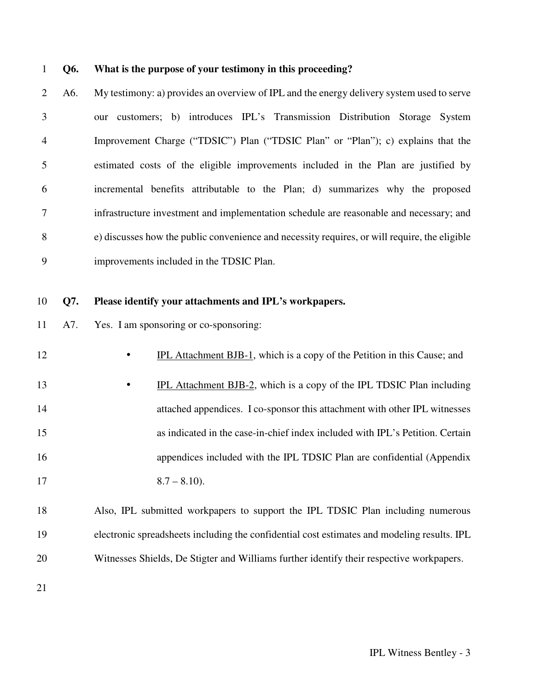#### 1 **Q6. What is the purpose of your testimony in this proceeding?**

2 A6. My testimony: a) provides an overview of IPL and the energy delivery system used to serve 3 our customers; b) introduces IPL's Transmission Distribution Storage System 4 Improvement Charge ("TDSIC") Plan ("TDSIC Plan" or "Plan"); c) explains that the 5 estimated costs of the eligible improvements included in the Plan are justified by 6 incremental benefits attributable to the Plan; d) summarizes why the proposed 7 infrastructure investment and implementation schedule are reasonable and necessary; and 8 e) discusses how the public convenience and necessity requires, or will require, the eligible 9 improvements included in the TDSIC Plan.

#### 10 **Q7. Please identify your attachments and IPL's workpapers.**

- 11 A7. Yes. I am sponsoring or co-sponsoring:
	-

12 • IPL Attachment BJB-1, which is a copy of the Petition in this Cause; and

- 13 **•** IPL Attachment BJB-2, which is a copy of the IPL TDSIC Plan including 14 attached appendices. I co-sponsor this attachment with other IPL witnesses 15 as indicated in the case-in-chief index included with IPL's Petition. Certain 16 appendices included with the IPL TDSIC Plan are confidential (Appendix 17  $8.7 - 8.10$ .
- 18 Also, IPL submitted workpapers to support the IPL TDSIC Plan including numerous 19 electronic spreadsheets including the confidential cost estimates and modeling results. IPL 20 Witnesses Shields, De Stigter and Williams further identify their respective workpapers.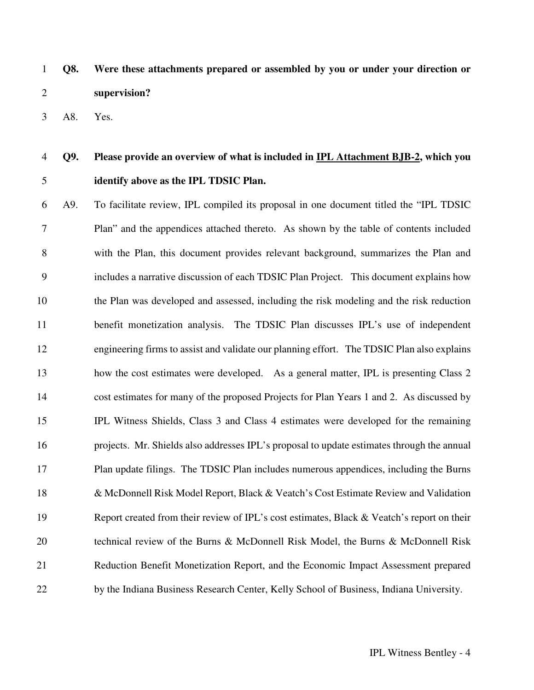1 **Q8. Were these attachments prepared or assembled by you or under your direction or**  2 **supervision?** 

3 A8. Yes.

## 4 **Q9. Please provide an overview of what is included in IPL Attachment BJB-2, which you**  5 **identify above as the IPL TDSIC Plan.**

6 A9. To facilitate review, IPL compiled its proposal in one document titled the "IPL TDSIC 7 Plan" and the appendices attached thereto. As shown by the table of contents included 8 with the Plan, this document provides relevant background, summarizes the Plan and 9 includes a narrative discussion of each TDSIC Plan Project. This document explains how 10 the Plan was developed and assessed, including the risk modeling and the risk reduction 11 benefit monetization analysis. The TDSIC Plan discusses IPL's use of independent 12 engineering firms to assist and validate our planning effort. The TDSIC Plan also explains 13 how the cost estimates were developed. As a general matter, IPL is presenting Class 2 14 cost estimates for many of the proposed Projects for Plan Years 1 and 2. As discussed by 15 IPL Witness Shields, Class 3 and Class 4 estimates were developed for the remaining 16 projects. Mr. Shields also addresses IPL's proposal to update estimates through the annual 17 Plan update filings. The TDSIC Plan includes numerous appendices, including the Burns 18 & McDonnell Risk Model Report, Black & Veatch's Cost Estimate Review and Validation 19 Report created from their review of IPL's cost estimates, Black & Veatch's report on their 20 technical review of the Burns & McDonnell Risk Model, the Burns & McDonnell Risk 21 Reduction Benefit Monetization Report, and the Economic Impact Assessment prepared 22 by the Indiana Business Research Center, Kelly School of Business, Indiana University.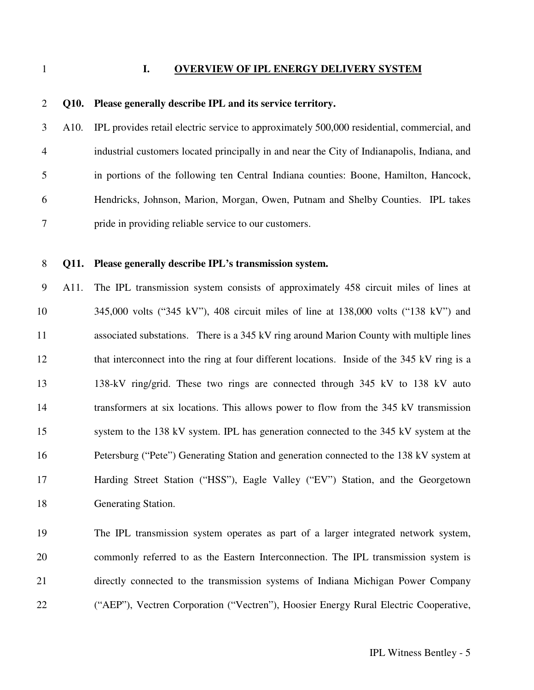#### 1 **I. OVERVIEW OF IPL ENERGY DELIVERY SYSTEM**

### 2 **Q10. Please generally describe IPL and its service territory.**

3 A10. IPL provides retail electric service to approximately 500,000 residential, commercial, and 4 industrial customers located principally in and near the City of Indianapolis, Indiana, and 5 in portions of the following ten Central Indiana counties: Boone, Hamilton, Hancock, 6 Hendricks, Johnson, Marion, Morgan, Owen, Putnam and Shelby Counties. IPL takes 7 pride in providing reliable service to our customers.

#### 8 **Q11. Please generally describe IPL's transmission system.**

9 A11. The IPL transmission system consists of approximately 458 circuit miles of lines at 10 345,000 volts ("345 kV"), 408 circuit miles of line at 138,000 volts ("138 kV") and 11 associated substations. There is a 345 kV ring around Marion County with multiple lines 12 that interconnect into the ring at four different locations. Inside of the 345 kV ring is a 13 138-kV ring/grid. These two rings are connected through 345 kV to 138 kV auto 14 transformers at six locations. This allows power to flow from the 345 kV transmission 15 system to the 138 kV system. IPL has generation connected to the 345 kV system at the 16 Petersburg ("Pete") Generating Station and generation connected to the 138 kV system at 17 Harding Street Station ("HSS"), Eagle Valley ("EV") Station, and the Georgetown 18 Generating Station.

19 The IPL transmission system operates as part of a larger integrated network system, 20 commonly referred to as the Eastern Interconnection. The IPL transmission system is 21 directly connected to the transmission systems of Indiana Michigan Power Company 22 ("AEP"), Vectren Corporation ("Vectren"), Hoosier Energy Rural Electric Cooperative,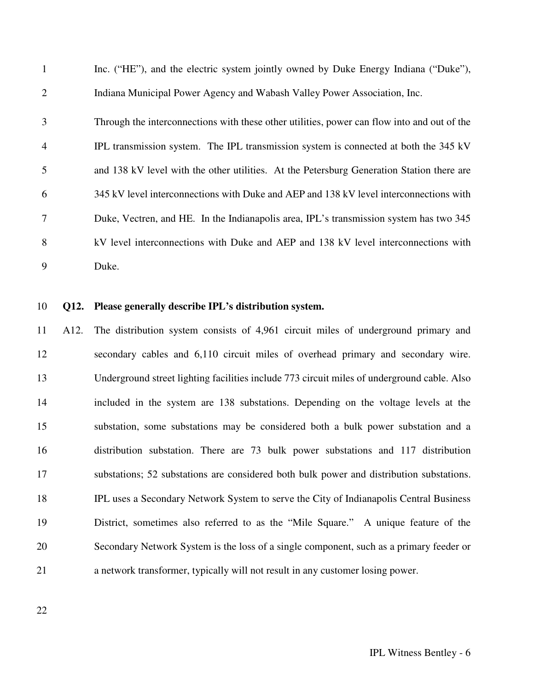1 Inc. ("HE"), and the electric system jointly owned by Duke Energy Indiana ("Duke"), 2 Indiana Municipal Power Agency and Wabash Valley Power Association, Inc.

3 Through the interconnections with these other utilities, power can flow into and out of the 4 IPL transmission system. The IPL transmission system is connected at both the 345 kV 5 and 138 kV level with the other utilities. At the Petersburg Generation Station there are 6 345 kV level interconnections with Duke and AEP and 138 kV level interconnections with 7 Duke, Vectren, and HE. In the Indianapolis area, IPL's transmission system has two 345 8 kV level interconnections with Duke and AEP and 138 kV level interconnections with 9 Duke.

#### 10 **Q12. Please generally describe IPL's distribution system.**

11 A12. The distribution system consists of 4,961 circuit miles of underground primary and 12 secondary cables and 6,110 circuit miles of overhead primary and secondary wire. 13 Underground street lighting facilities include 773 circuit miles of underground cable. Also 14 included in the system are 138 substations. Depending on the voltage levels at the 15 substation, some substations may be considered both a bulk power substation and a 16 distribution substation. There are 73 bulk power substations and 117 distribution 17 substations; 52 substations are considered both bulk power and distribution substations. 18 IPL uses a Secondary Network System to serve the City of Indianapolis Central Business 19 District, sometimes also referred to as the "Mile Square." A unique feature of the 20 Secondary Network System is the loss of a single component, such as a primary feeder or 21 a network transformer, typically will not result in any customer losing power.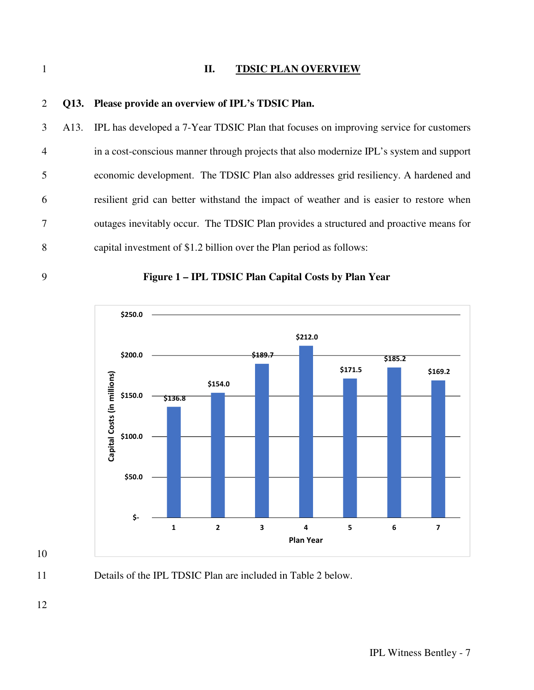#### 1 **II. TDSIC PLAN OVERVIEW**

# 2 **Q13. Please provide an overview of IPL's TDSIC Plan.**  3 A13. IPL has developed a 7-Year TDSIC Plan that focuses on improving service for customers 4 in a cost-conscious manner through projects that also modernize IPL's system and support 5 economic development. The TDSIC Plan also addresses grid resiliency. A hardened and 6 resilient grid can better withstand the impact of weather and is easier to restore when 7 outages inevitably occur. The TDSIC Plan provides a structured and proactive means for 8 capital investment of \$1.2 billion over the Plan period as follows:





10

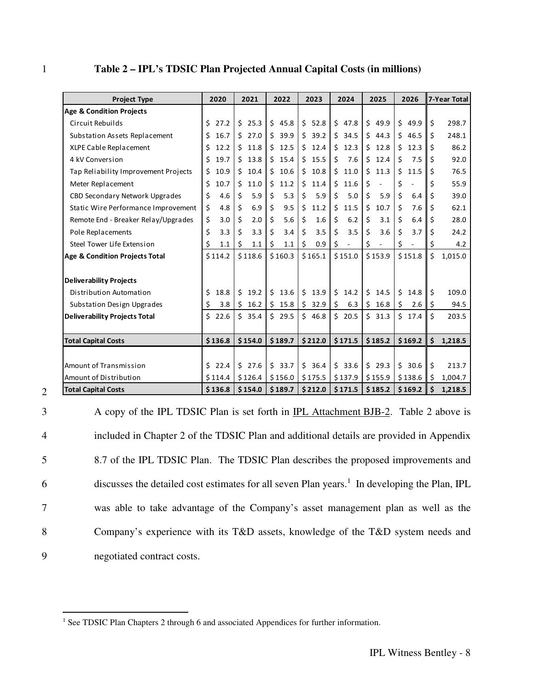|  | Table 2 – IPL's TDSIC Plan Projected Annual Capital Costs (in millions) |  |  |
|--|-------------------------------------------------------------------------|--|--|
|--|-------------------------------------------------------------------------|--|--|

| <b>Project Type</b>                  | 2020       | 2021       | 2022       | 2023       | 2024                 | 2025       | 2026       | 7-Year Total  |
|--------------------------------------|------------|------------|------------|------------|----------------------|------------|------------|---------------|
| <b>Age &amp; Condition Projects</b>  |            |            |            |            |                      |            |            |               |
| Circuit Rebuilds                     | Ś.<br>27.2 | \$25.3     | \$45.8     | \$52.8     | \$47.8               | \$<br>49.9 | \$49.9     | Ś.<br>298.7   |
| Substation Assets Replacement        | 16.7<br>Ś. | 527.0      | \$39.9     | \$39.2     | \$34.5               | Ś.<br>44.3 | \$46.5     | Ś.<br>248.1   |
| XLPE Cable Replacement               | 12.2<br>\$ | Ś.<br>11.8 | \$12.5     | \$<br>12.4 | \$<br>12.3           | Ś.<br>12.8 | Ś.<br>12.3 | Ś<br>86.2     |
| 4 kV Conversion                      | 19.7<br>\$ | \$13.8     | \$15.4     | \$<br>15.5 | \$<br>7.6            | Ś.<br>12.4 | Ś.<br>7.5  | Ś<br>92.0     |
| Tap Reliability Improvement Projects | 10.9<br>\$ | 10.4<br>Ś. | \$10.6     | \$<br>10.8 | \$<br>11.0           | \$<br>11.3 | \$<br>11.5 | \$<br>76.5    |
| Meter Replacement                    | 10.7<br>\$ | Ś.<br>11.0 | Ŝ.<br>11.2 | \$<br>11.4 | Ś.<br>11.6           | \$         | \$         | Ś<br>55.9     |
| CBD Secondary Network Upgrades       | \$<br>4.6  | \$<br>5.9  | \$<br>5.3  | \$<br>5.9  | \$<br>5.0            | \$<br>5.9  | \$<br>6.4  | Ś<br>39.0     |
| Static Wire Performance Improvement  | \$<br>4.8  | \$<br>6.9  | \$<br>9.5  | \$<br>11.2 | \$<br>11.5           | \$<br>10.7 | \$<br>7.6  | \$<br>62.1    |
| Remote End - Breaker Relay/Upgrades  | \$<br>3.0  | \$<br>2.0  | \$<br>5.6  | \$<br>1.6  | \$<br>6.2            | \$<br>3.1  | \$<br>6.4  | Ś.<br>28.0    |
| Pole Replacements                    | \$<br>3.3  | Ś.<br>3.3  | Ś.<br>3.4  | \$<br>3.5  | \$<br>3.5            | \$<br>3.6  | \$<br>3.7  | Ś<br>24.2     |
| Steel Tower Life Extension           | \$<br>1.1  | \$<br>1.1  | \$<br>1.1  | \$<br>0.9  | \$<br>$\blacksquare$ | \$         | \$         | \$<br>4.2     |
| Age & Condition Projects Total       | \$114.2    | \$118.6    | \$160.3    | \$165.1    | \$151.0              | \$153.9    | \$151.8    | \$<br>1,015.0 |
|                                      |            |            |            |            |                      |            |            |               |
| <b>Deliverability Projects</b>       |            |            |            |            |                      |            |            |               |
| Distribution Automation              | Ś.<br>18.8 | Ś.<br>19.2 | \$13.6     | \$<br>13.9 | Ś.<br>14.2           | Ś.<br>14.5 | Ś.<br>14.8 | Ś.<br>109.0   |
| Substation Design Upgrades           | 3.8<br>\$  | \$<br>16.2 | \$15.8     | \$32.9     | \$<br>6.3            | \$<br>16.8 | \$<br>2.6  | \$<br>94.5    |
| <b>Deliverability Projects Total</b> | Ś.<br>22.6 | \$35.4     | \$29.5     | \$46.8     | \$20.5               | \$31.3     | \$17.4     | \$<br>203.5   |
|                                      |            |            |            |            |                      |            |            |               |
| <b>Total Capital Costs</b>           | \$136.8    | \$154.0    | \$189.7    | \$212.0    | \$171.5              | \$185.2    | \$169.2    | \$<br>1,218.5 |
|                                      |            |            |            |            |                      |            |            |               |
| Amount of Transmission               | \$22.4     | \$27.6     | \$33.7     | \$36.4     | \$33.6               | \$<br>29.3 | \$30.6     | \$<br>213.7   |
| Amount of Distribution               | \$114.4    | \$126.4    | \$156.0    | \$175.5    | \$137.9              | \$155.9    | \$138.6    | \$<br>1,004.7 |
| <b>Total Capital Costs</b>           | \$136.8    | \$154.0    | \$189.7    | \$212.0    | \$171.5              | \$185.2    | \$169.2    | \$<br>1,218.5 |

2

l

3 A copy of the IPL TDSIC Plan is set forth in IPL Attachment BJB-2. Table 2 above is 4 included in Chapter 2 of the TDSIC Plan and additional details are provided in Appendix 5 8.7 of the IPL TDSIC Plan. The TDSIC Plan describes the proposed improvements and  $6$  discusses the detailed cost estimates for all seven Plan years.<sup>1</sup> In developing the Plan, IPL 7 was able to take advantage of the Company's asset management plan as well as the 8 Company's experience with its T&D assets, knowledge of the T&D system needs and 9 negotiated contract costs.

<sup>&</sup>lt;sup>1</sup> See TDSIC Plan Chapters 2 through 6 and associated Appendices for further information.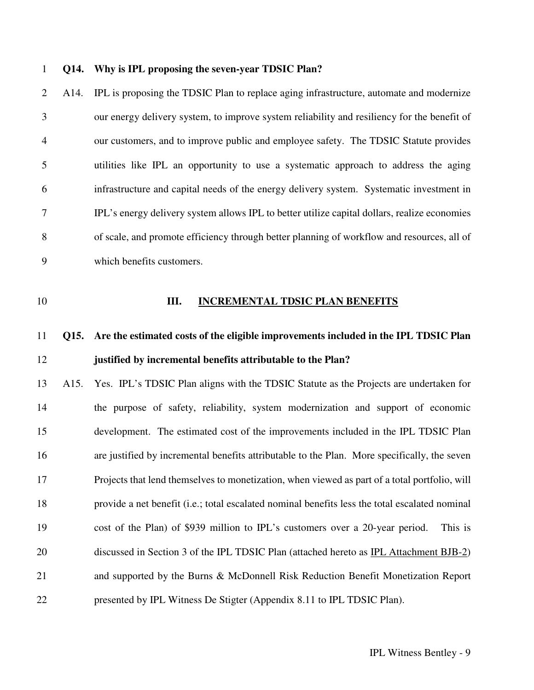#### 1 **Q14. Why is IPL proposing the seven-year TDSIC Plan?**

2 A14. IPL is proposing the TDSIC Plan to replace aging infrastructure, automate and modernize 3 our energy delivery system, to improve system reliability and resiliency for the benefit of 4 our customers, and to improve public and employee safety. The TDSIC Statute provides 5 utilities like IPL an opportunity to use a systematic approach to address the aging 6 infrastructure and capital needs of the energy delivery system. Systematic investment in 7 IPL's energy delivery system allows IPL to better utilize capital dollars, realize economies 8 of scale, and promote efficiency through better planning of workflow and resources, all of 9 which benefits customers.

#### 10 **III. INCREMENTAL TDSIC PLAN BENEFITS**

## 11 **Q15. Are the estimated costs of the eligible improvements included in the IPL TDSIC Plan**  12 **justified by incremental benefits attributable to the Plan?**

13 A15. Yes. IPL's TDSIC Plan aligns with the TDSIC Statute as the Projects are undertaken for 14 the purpose of safety, reliability, system modernization and support of economic 15 development. The estimated cost of the improvements included in the IPL TDSIC Plan 16 are justified by incremental benefits attributable to the Plan. More specifically, the seven 17 Projects that lend themselves to monetization, when viewed as part of a total portfolio, will 18 provide a net benefit (i.e.; total escalated nominal benefits less the total escalated nominal 19 cost of the Plan) of \$939 million to IPL's customers over a 20-year period. This is 20 discussed in Section 3 of the IPL TDSIC Plan (attached hereto as IPL Attachment BJB-2) 21 and supported by the Burns & McDonnell Risk Reduction Benefit Monetization Report 22 presented by IPL Witness De Stigter (Appendix 8.11 to IPL TDSIC Plan).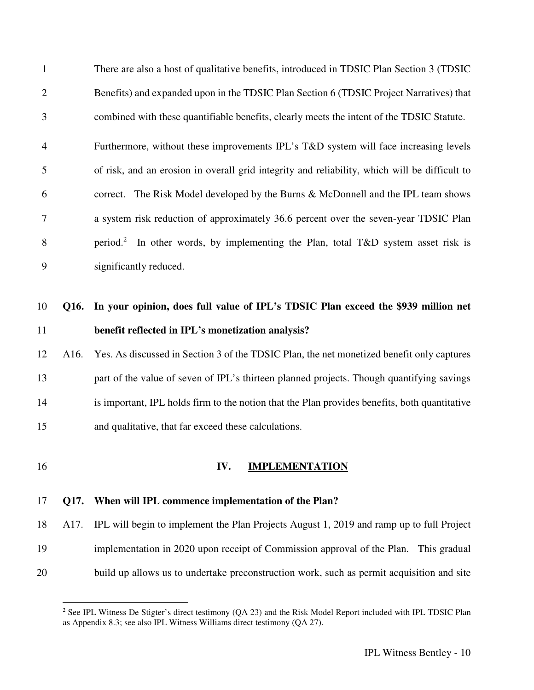1 There are also a host of qualitative benefits, introduced in TDSIC Plan Section 3 (TDSIC 2 Benefits) and expanded upon in the TDSIC Plan Section 6 (TDSIC Project Narratives) that 3 combined with these quantifiable benefits, clearly meets the intent of the TDSIC Statute. 4 Furthermore, without these improvements IPL's T&D system will face increasing levels 5 of risk, and an erosion in overall grid integrity and reliability, which will be difficult to 6 correct. The Risk Model developed by the Burns & McDonnell and the IPL team shows 7 a system risk reduction of approximately 36.6 percent over the seven-year TDSIC Plan 8 period.<sup>2</sup> In other words, by implementing the Plan, total T&D system asset risk is 9 significantly reduced.

## 10 **Q16. In your opinion, does full value of IPL's TDSIC Plan exceed the \$939 million net**  11 **benefit reflected in IPL's monetization analysis?**

12 A16. Yes. As discussed in Section 3 of the TDSIC Plan, the net monetized benefit only captures 13 part of the value of seven of IPL's thirteen planned projects. Though quantifying savings 14 is important, IPL holds firm to the notion that the Plan provides benefits, both quantitative 15 and qualitative, that far exceed these calculations.

-

#### 16 **IV. IMPLEMENTATION**

#### 17 **Q17. When will IPL commence implementation of the Plan?**

18 A17. IPL will begin to implement the Plan Projects August 1, 2019 and ramp up to full Project 19 implementation in 2020 upon receipt of Commission approval of the Plan. This gradual 20 build up allows us to undertake preconstruction work, such as permit acquisition and site

<sup>&</sup>lt;sup>2</sup> See IPL Witness De Stigter's direct testimony (QA 23) and the Risk Model Report included with IPL TDSIC Plan as Appendix 8.3; see also IPL Witness Williams direct testimony (QA 27).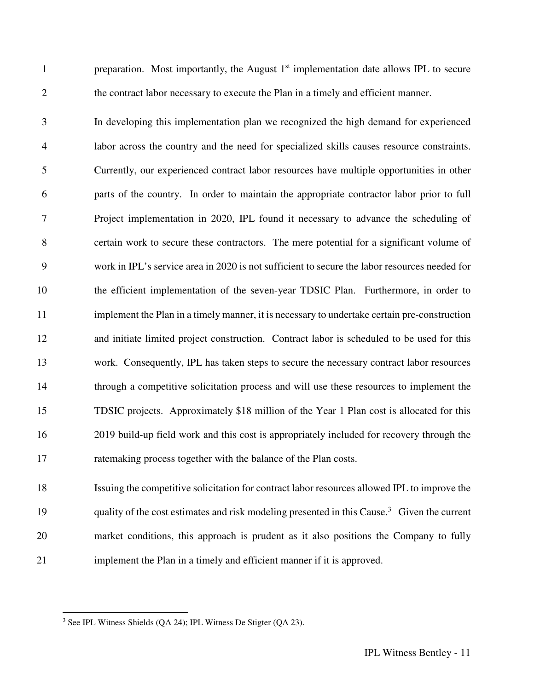preparation. Most importantly, the August  $1<sup>st</sup>$  implementation date allows IPL to secure 2 the contract labor necessary to execute the Plan in a timely and efficient manner.

3 In developing this implementation plan we recognized the high demand for experienced 4 labor across the country and the need for specialized skills causes resource constraints. 5 Currently, our experienced contract labor resources have multiple opportunities in other 6 parts of the country. In order to maintain the appropriate contractor labor prior to full 7 Project implementation in 2020, IPL found it necessary to advance the scheduling of 8 certain work to secure these contractors. The mere potential for a significant volume of 9 work in IPL's service area in 2020 is not sufficient to secure the labor resources needed for 10 the efficient implementation of the seven-year TDSIC Plan. Furthermore, in order to 11 implement the Plan in a timely manner, it is necessary to undertake certain pre-construction 12 and initiate limited project construction. Contract labor is scheduled to be used for this 13 work. Consequently, IPL has taken steps to secure the necessary contract labor resources 14 through a competitive solicitation process and will use these resources to implement the 15 TDSIC projects. Approximately \$18 million of the Year 1 Plan cost is allocated for this 16 2019 build-up field work and this cost is appropriately included for recovery through the 17 ratemaking process together with the balance of the Plan costs.

18 Issuing the competitive solicitation for contract labor resources allowed IPL to improve the 19 quality of the cost estimates and risk modeling presented in this Cause.<sup>3</sup> Given the current 20 market conditions, this approach is prudent as it also positions the Company to fully 21 implement the Plan in a timely and efficient manner if it is approved.

l

 $3$  See IPL Witness Shields (QA 24); IPL Witness De Stigter (QA 23).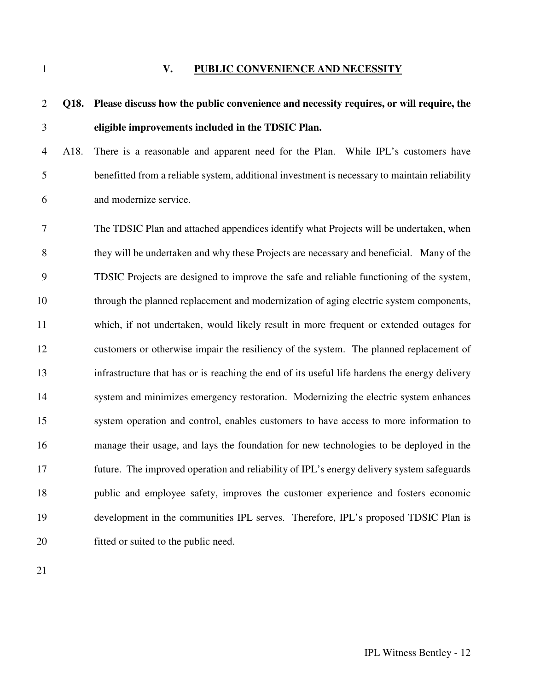#### 1 **V. PUBLIC CONVENIENCE AND NECESSITY**

## 2 **Q18. Please discuss how the public convenience and necessity requires, or will require, the**  3 **eligible improvements included in the TDSIC Plan.**

4 A18. There is a reasonable and apparent need for the Plan. While IPL's customers have 5 benefitted from a reliable system, additional investment is necessary to maintain reliability 6 and modernize service.

7 The TDSIC Plan and attached appendices identify what Projects will be undertaken, when 8 they will be undertaken and why these Projects are necessary and beneficial. Many of the 9 TDSIC Projects are designed to improve the safe and reliable functioning of the system, 10 through the planned replacement and modernization of aging electric system components, 11 which, if not undertaken, would likely result in more frequent or extended outages for 12 customers or otherwise impair the resiliency of the system. The planned replacement of 13 infrastructure that has or is reaching the end of its useful life hardens the energy delivery 14 system and minimizes emergency restoration. Modernizing the electric system enhances 15 system operation and control, enables customers to have access to more information to 16 manage their usage, and lays the foundation for new technologies to be deployed in the 17 future. The improved operation and reliability of IPL's energy delivery system safeguards 18 public and employee safety, improves the customer experience and fosters economic 19 development in the communities IPL serves. Therefore, IPL's proposed TDSIC Plan is 20 fitted or suited to the public need.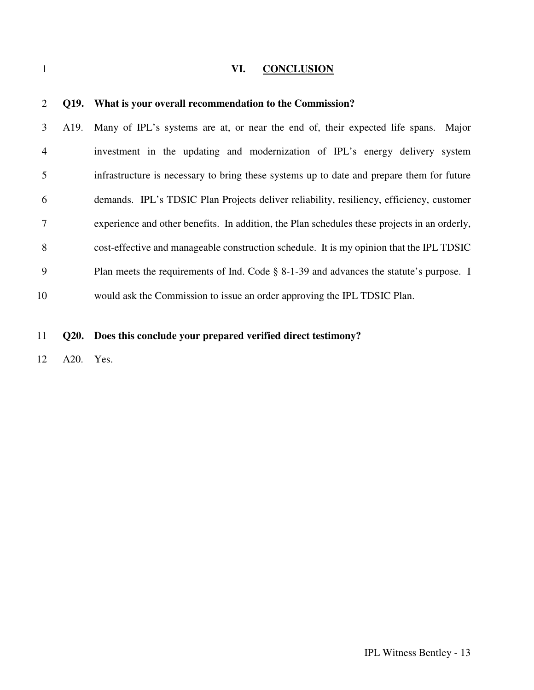### VI. **CONCLUSION**

| 2              |      | Q19. What is your overall recommendation to the Commission?                                  |
|----------------|------|----------------------------------------------------------------------------------------------|
| 3              | A19. | Many of IPL's systems are at, or near the end of, their expected life spans. Major           |
| $\overline{4}$ |      | investment in the updating and modernization of IPL's energy delivery system                 |
| 5              |      | infrastructure is necessary to bring these systems up to date and prepare them for future    |
| 6              |      | demands. IPL's TDSIC Plan Projects deliver reliability, resiliency, efficiency, customer     |
| 7              |      | experience and other benefits. In addition, the Plan schedules these projects in an orderly, |
| 8              |      | cost-effective and manageable construction schedule. It is my opinion that the IPL TDSIC     |
| 9              |      | Plan meets the requirements of Ind. Code § 8-1-39 and advances the statute's purpose. I      |
| 10             |      | would ask the Commission to issue an order approving the IPL TDSIC Plan.                     |
|                |      |                                                                                              |
| 11             |      | Q20. Does this conclude your prepared verified direct testimony?                             |

12 A20. Yes.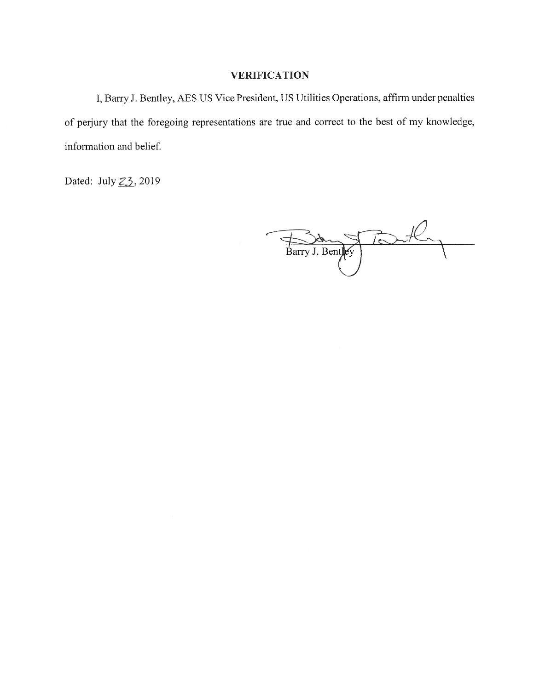### **VERIFICATION**

I, Barry J. Bentley, AES US Vice President, US Utilities Operations, affirm under penalties of perjury that the foregoing representations are true and correct to the best of my knowledge, information and belief.

Dated: July 23, 2019

Port Barry J. Bentley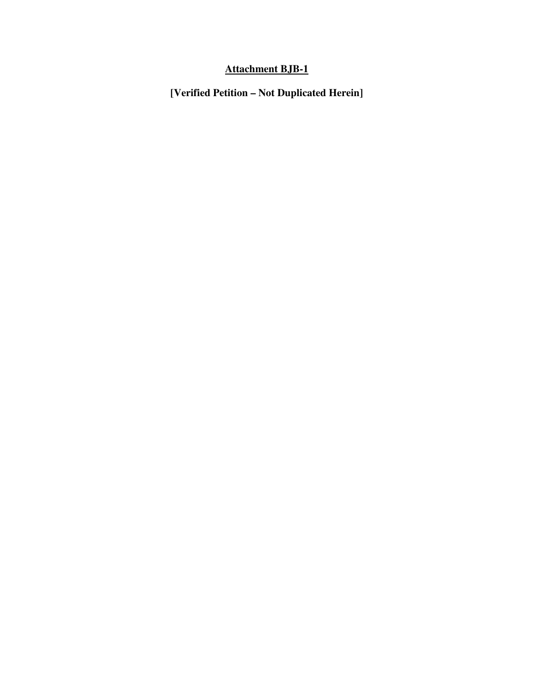### **Attachment BJB-1**

**[Verified Petition – Not Duplicated Herein]**